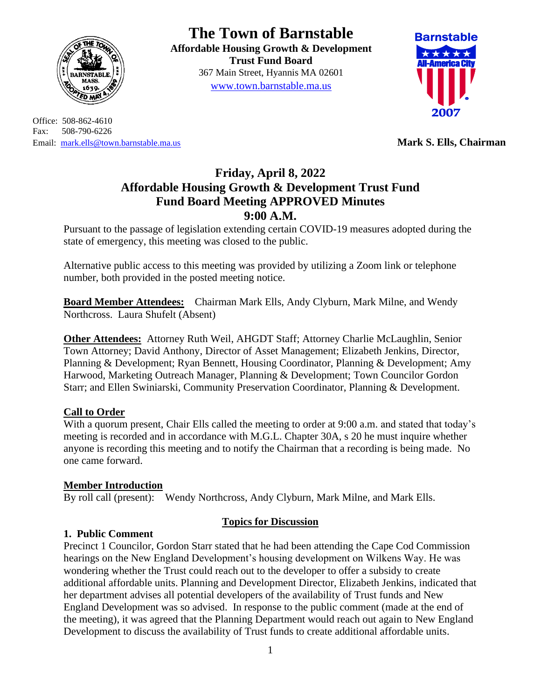

Office: 508-862-4610 Fax: 508-790-6226 Email: [mark.ells@town.barnstable.ma.us](mailto:mark.ells@town.barnstable.ma.us) **Mark S. Ells, Chairman**

# **The Town of Barnstable**

**Affordable Housing Growth & Development Trust Fund Board**  367 Main Street, Hyannis MA 02601 [www.town.barnstable.ma.us](http://www.town.barnstable.ma.us/)



# **Friday, April 8, 2022 Affordable Housing Growth & Development Trust Fund Fund Board Meeting APPROVED Minutes 9:00 A.M.**

Pursuant to the passage of legislation extending certain COVID-19 measures adopted during the state of emergency, this meeting was closed to the public.

Alternative public access to this meeting was provided by utilizing a Zoom link or telephone number, both provided in the posted meeting notice.

**Board Member Attendees:** Chairman Mark Ells, Andy Clyburn, Mark Milne, and Wendy Northcross. Laura Shufelt (Absent)

**Other Attendees:** Attorney Ruth Weil, AHGDT Staff; Attorney Charlie McLaughlin, Senior Town Attorney; David Anthony, Director of Asset Management; Elizabeth Jenkins, Director, Planning & Development; Ryan Bennett, Housing Coordinator, Planning & Development; Amy Harwood, Marketing Outreach Manager, Planning & Development; Town Councilor Gordon Starr; and Ellen Swiniarski, Community Preservation Coordinator, Planning & Development.

# **Call to Order**

With a quorum present. Chair Ells called the meeting to order at 9:00 a.m. and stated that today's meeting is recorded and in accordance with M.G.L. Chapter 30A, s 20 he must inquire whether anyone is recording this meeting and to notify the Chairman that a recording is being made. No one came forward.

# **Member Introduction**

By roll call (present): Wendy Northcross, Andy Clyburn, Mark Milne, and Mark Ells.

# **Topics for Discussion**

# **1. Public Comment**

Precinct 1 Councilor, Gordon Starr stated that he had been attending the Cape Cod Commission hearings on the New England Development's housing development on Wilkens Way. He was wondering whether the Trust could reach out to the developer to offer a subsidy to create additional affordable units. Planning and Development Director, Elizabeth Jenkins, indicated that her department advises all potential developers of the availability of Trust funds and New England Development was so advised. In response to the public comment (made at the end of the meeting), it was agreed that the Planning Department would reach out again to New England Development to discuss the availability of Trust funds to create additional affordable units.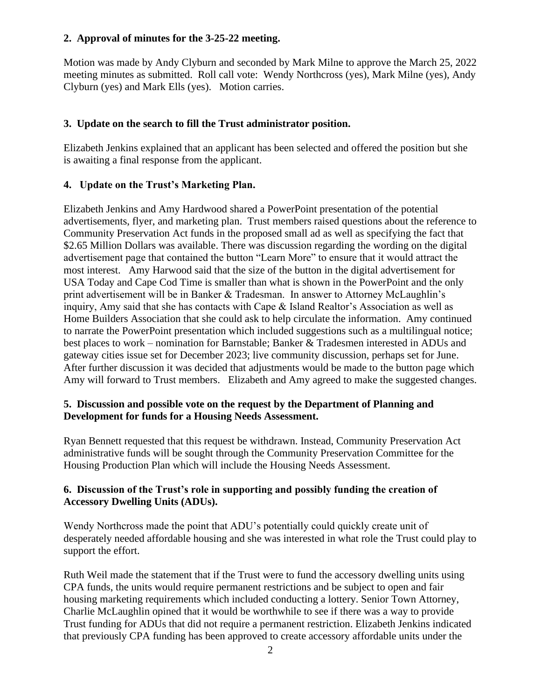#### **2. Approval of minutes for the 3-25-22 meeting.**

Motion was made by Andy Clyburn and seconded by Mark Milne to approve the March 25, 2022 meeting minutes as submitted. Roll call vote: Wendy Northcross (yes), Mark Milne (yes), Andy Clyburn (yes) and Mark Ells (yes). Motion carries.

#### **3. Update on the search to fill the Trust administrator position.**

Elizabeth Jenkins explained that an applicant has been selected and offered the position but she is awaiting a final response from the applicant.

#### **4. Update on the Trust's Marketing Plan.**

Elizabeth Jenkins and Amy Hardwood shared a PowerPoint presentation of the potential advertisements, flyer, and marketing plan. Trust members raised questions about the reference to Community Preservation Act funds in the proposed small ad as well as specifying the fact that \$2.65 Million Dollars was available. There was discussion regarding the wording on the digital advertisement page that contained the button "Learn More" to ensure that it would attract the most interest. Amy Harwood said that the size of the button in the digital advertisement for USA Today and Cape Cod Time is smaller than what is shown in the PowerPoint and the only print advertisement will be in Banker & Tradesman. In answer to Attorney McLaughlin's inquiry, Amy said that she has contacts with Cape & Island Realtor's Association as well as Home Builders Association that she could ask to help circulate the information. Amy continued to narrate the PowerPoint presentation which included suggestions such as a multilingual notice; best places to work – nomination for Barnstable; Banker & Tradesmen interested in ADUs and gateway cities issue set for December 2023; live community discussion, perhaps set for June. After further discussion it was decided that adjustments would be made to the button page which Amy will forward to Trust members. Elizabeth and Amy agreed to make the suggested changes.

#### **5. Discussion and possible vote on the request by the Department of Planning and Development for funds for a Housing Needs Assessment.**

Ryan Bennett requested that this request be withdrawn. Instead, Community Preservation Act administrative funds will be sought through the Community Preservation Committee for the Housing Production Plan which will include the Housing Needs Assessment.

#### **6. Discussion of the Trust's role in supporting and possibly funding the creation of Accessory Dwelling Units (ADUs).**

Wendy Northcross made the point that ADU's potentially could quickly create unit of desperately needed affordable housing and she was interested in what role the Trust could play to support the effort.

Ruth Weil made the statement that if the Trust were to fund the accessory dwelling units using CPA funds, the units would require permanent restrictions and be subject to open and fair housing marketing requirements which included conducting a lottery. Senior Town Attorney, Charlie McLaughlin opined that it would be worthwhile to see if there was a way to provide Trust funding for ADUs that did not require a permanent restriction. Elizabeth Jenkins indicated that previously CPA funding has been approved to create accessory affordable units under the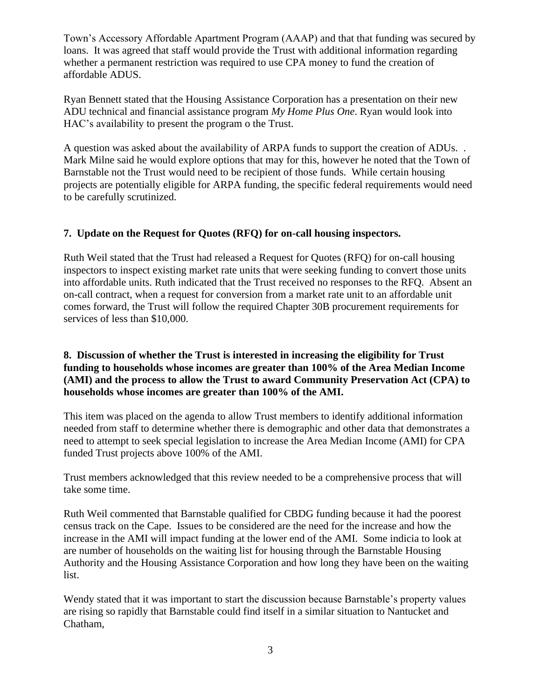Town's Accessory Affordable Apartment Program (AAAP) and that that funding was secured by loans. It was agreed that staff would provide the Trust with additional information regarding whether a permanent restriction was required to use CPA money to fund the creation of affordable ADUS.

Ryan Bennett stated that the Housing Assistance Corporation has a presentation on their new ADU technical and financial assistance program *My Home Plus One*. Ryan would look into HAC's availability to present the program o the Trust.

A question was asked about the availability of ARPA funds to support the creation of ADUs. . Mark Milne said he would explore options that may for this, however he noted that the Town of Barnstable not the Trust would need to be recipient of those funds. While certain housing projects are potentially eligible for ARPA funding, the specific federal requirements would need to be carefully scrutinized.

# **7. Update on the Request for Quotes (RFQ) for on-call housing inspectors.**

Ruth Weil stated that the Trust had released a Request for Quotes (RFQ) for on-call housing inspectors to inspect existing market rate units that were seeking funding to convert those units into affordable units. Ruth indicated that the Trust received no responses to the RFQ. Absent an on-call contract, when a request for conversion from a market rate unit to an affordable unit comes forward, the Trust will follow the required Chapter 30B procurement requirements for services of less than \$10,000.

# **8. Discussion of whether the Trust is interested in increasing the eligibility for Trust funding to households whose incomes are greater than 100% of the Area Median Income (AMI) and the process to allow the Trust to award Community Preservation Act (CPA) to households whose incomes are greater than 100% of the AMI.**

This item was placed on the agenda to allow Trust members to identify additional information needed from staff to determine whether there is demographic and other data that demonstrates a need to attempt to seek special legislation to increase the Area Median Income (AMI) for CPA funded Trust projects above 100% of the AMI.

Trust members acknowledged that this review needed to be a comprehensive process that will take some time.

Ruth Weil commented that Barnstable qualified for CBDG funding because it had the poorest census track on the Cape. Issues to be considered are the need for the increase and how the increase in the AMI will impact funding at the lower end of the AMI. Some indicia to look at are number of households on the waiting list for housing through the Barnstable Housing Authority and the Housing Assistance Corporation and how long they have been on the waiting list.

Wendy stated that it was important to start the discussion because Barnstable's property values are rising so rapidly that Barnstable could find itself in a similar situation to Nantucket and Chatham,